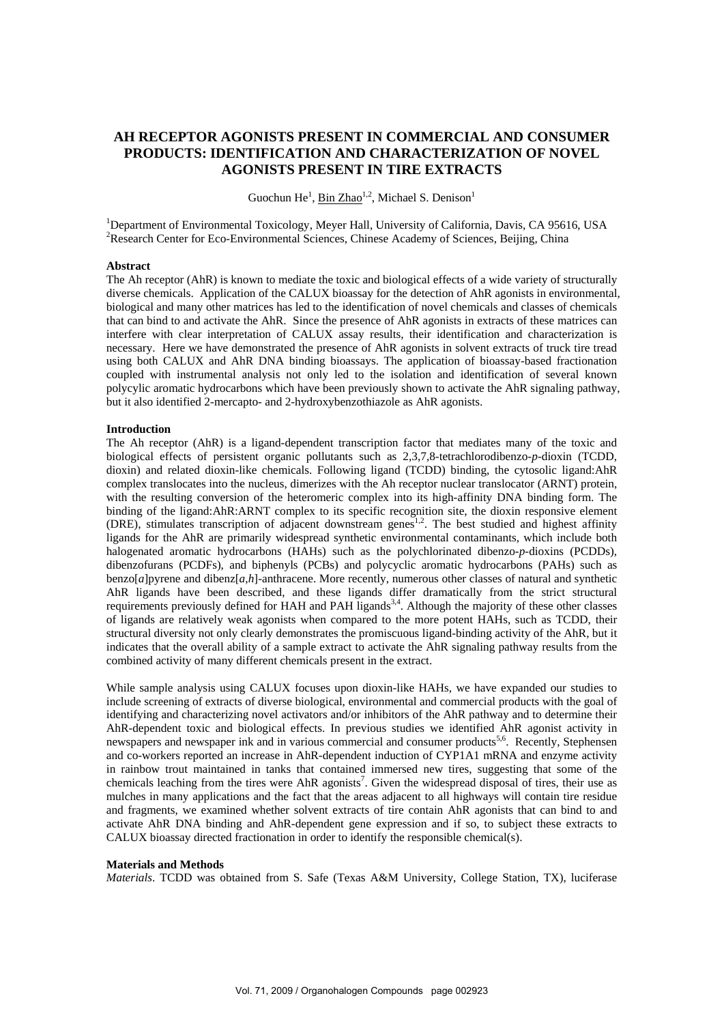# **AH RECEPTOR AGONISTS PRESENT IN COMMERCIAL AND CONSUMER PRODUCTS: IDENTIFICATION AND CHARACTERIZATION OF NOVEL AGONISTS PRESENT IN TIRE EXTRACTS**

Guochun He<sup>1</sup>, Bin Zhao<sup>1,2</sup>, Michael S. Denison<sup>1</sup>

<sup>1</sup>Department of Environmental Toxicology, Meyer Hall, University of California, Davis, CA 95616, USA <sup>2</sup>Research Center for Eco-Environmental Sciences, Chinese Academy of Sciences, Beijing, China

## **Abstract**

The Ah receptor (AhR) is known to mediate the toxic and biological effects of a wide variety of structurally diverse chemicals. Application of the CALUX bioassay for the detection of AhR agonists in environmental, biological and many other matrices has led to the identification of novel chemicals and classes of chemicals that can bind to and activate the AhR. Since the presence of AhR agonists in extracts of these matrices can interfere with clear interpretation of CALUX assay results, their identification and characterization is necessary. Here we have demonstrated the presence of AhR agonists in solvent extracts of truck tire tread using both CALUX and AhR DNA binding bioassays. The application of bioassay-based fractionation coupled with instrumental analysis not only led to the isolation and identification of several known polycylic aromatic hydrocarbons which have been previously shown to activate the AhR signaling pathway, but it also identified 2-mercapto- and 2-hydroxybenzothiazole as AhR agonists.

#### **Introduction**

The Ah receptor (AhR) is a ligand-dependent transcription factor that mediates many of the toxic and biological effects of persistent organic pollutants such as 2,3,7,8-tetrachlorodibenzo-*p*-dioxin (TCDD, dioxin) and related dioxin-like chemicals. Following ligand (TCDD) binding, the cytosolic ligand:AhR complex translocates into the nucleus, dimerizes with the Ah receptor nuclear translocator (ARNT) protein, with the resulting conversion of the heteromeric complex into its high-affinity DNA binding form. The binding of the ligand:AhR:ARNT complex to its specific recognition site, the dioxin responsive element (DRE), stimulates transcription of adjacent downstream genes<sup>1,2</sup>. The best studied and highest affinity ligands for the AhR are primarily widespread synthetic environmental contaminants, which include both halogenated aromatic hydrocarbons (HAHs) such as the polychlorinated dibenzo-*p*-dioxins (PCDDs), dibenzofurans (PCDFs), and biphenyls (PCBs) and polycyclic aromatic hydrocarbons (PAHs) such as benzo[*a*]pyrene and dibenz[*a*,*h*]-anthracene. More recently, numerous other classes of natural and synthetic AhR ligands have been described, and these ligands differ dramatically from the strict structural requirements previously defined for HAH and PAH ligands<sup>3,4</sup>. Although the majority of these other classes of ligands are relatively weak agonists when compared to the more potent HAHs, such as TCDD, their structural diversity not only clearly demonstrates the promiscuous ligand-binding activity of the AhR, but it indicates that the overall ability of a sample extract to activate the AhR signaling pathway results from the combined activity of many different chemicals present in the extract.

While sample analysis using CALUX focuses upon dioxin-like HAHs, we have expanded our studies to include screening of extracts of diverse biological, environmental and commercial products with the goal of identifying and characterizing novel activators and/or inhibitors of the AhR pathway and to determine their AhR-dependent toxic and biological effects. In previous studies we identified AhR agonist activity in newspapers and newspaper ink and in various commercial and consumer products<sup>5,6</sup>. Recently, Stephensen and co-workers reported an increase in AhR-dependent induction of CYP1A1 mRNA and enzyme activity in rainbow trout maintained in tanks that contained immersed new tires, suggesting that some of the chemicals leaching from the tires were AhR agonists<sup>7</sup>. Given the widespread disposal of tires, their use as mulches in many applications and the fact that the areas adjacent to all highways will contain tire residue and fragments, we examined whether solvent extracts of tire contain AhR agonists that can bind to and activate AhR DNA binding and AhR-dependent gene expression and if so, to subject these extracts to CALUX bioassay directed fractionation in order to identify the responsible chemical(s).

#### **Materials and Methods**

*Materials*. TCDD was obtained from S. Safe (Texas A&M University, College Station, TX), luciferase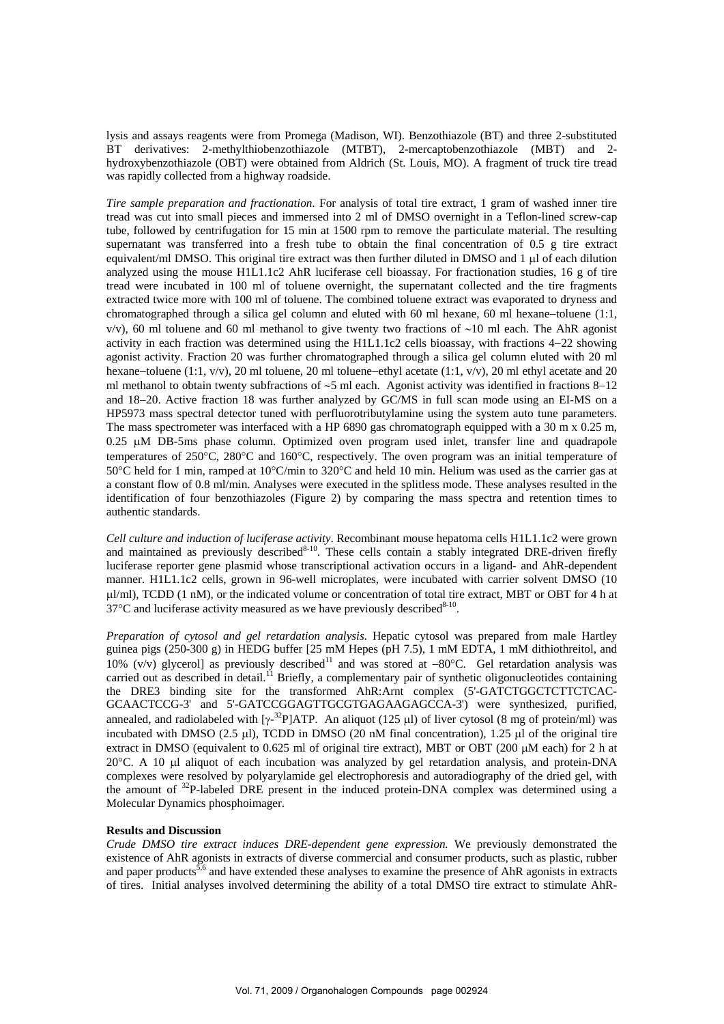lysis and assays reagents were from Promega (Madison, WI). Benzothiazole (BT) and three 2-substituted BT derivatives: 2-methylthiobenzothiazole (MTBT), 2-mercaptobenzothiazole (MBT) and 2 hydroxybenzothiazole (OBT) were obtained from Aldrich (St. Louis, MO). A fragment of truck tire tread was rapidly collected from a highway roadside.

*Tire sample preparation and fractionation*. For analysis of total tire extract, 1 gram of washed inner tire tread was cut into small pieces and immersed into 2 ml of DMSO overnight in a Teflon-lined screw-cap tube, followed by centrifugation for 15 min at 1500 rpm to remove the particulate material. The resulting supernatant was transferred into a fresh tube to obtain the final concentration of 0.5 g tire extract equivalent/ml DMSO. This original tire extract was then further diluted in DMSO and 1 μl of each dilution analyzed using the mouse H1L1.1c2 AhR luciferase cell bioassay. For fractionation studies, 16 g of tire tread were incubated in 100 ml of toluene overnight, the supernatant collected and the tire fragments extracted twice more with 100 ml of toluene. The combined toluene extract was evaporated to dryness and chromatographed through a silica gel column and eluted with 60 ml hexane, 60 ml hexane−toluene (1:1, v/v), 60 ml toluene and 60 ml methanol to give twenty two fractions of ∼10 ml each. The AhR agonist activity in each fraction was determined using the H1L1.1c2 cells bioassay, with fractions 4−22 showing agonist activity. Fraction 20 was further chromatographed through a silica gel column eluted with 20 ml hexane−toluene (1:1, v/v), 20 ml toluene, 20 ml toluene−ethyl acetate (1:1, v/v), 20 ml ethyl acetate and 20 ml methanol to obtain twenty subfractions of ∼5 ml each. Agonist activity was identified in fractions 8−12 and 18−20. Active fraction 18 was further analyzed by GC/MS in full scan mode using an EI-MS on a HP5973 mass spectral detector tuned with perfluorotributylamine using the system auto tune parameters. The mass spectrometer was interfaced with a HP 6890 gas chromatograph equipped with a 30 m x 0.25 m, 0.25 μM DB-5ms phase column. Optimized oven program used inlet, transfer line and quadrapole temperatures of 250°C, 280°C and 160°C, respectively. The oven program was an initial temperature of 50°C held for 1 min, ramped at 10°C/min to 320°C and held 10 min. Helium was used as the carrier gas at a constant flow of 0.8 ml/min. Analyses were executed in the splitless mode. These analyses resulted in the identification of four benzothiazoles (Figure 2) by comparing the mass spectra and retention times to authentic standards.

*Cell culture and induction of luciferase activity*. Recombinant mouse hepatoma cells H1L1.1c2 were grown and maintained as previously described<sup>8-10</sup>. These cells contain a stably integrated DRE-driven firefly luciferase reporter gene plasmid whose transcriptional activation occurs in a ligand- and AhR-dependent manner. H1L1.1c2 cells, grown in 96-well microplates, were incubated with carrier solvent DMSO (10 μl/ml), TCDD (1 nM), or the indicated volume or concentration of total tire extract, MBT or OBT for 4 h at  $37^{\circ}$ C and luciferase activity measured as we have previously described<sup>8-10</sup>.

*Preparation of cytosol and gel retardation analysis*. Hepatic cytosol was prepared from male Hartley guinea pigs (250-300 g) in HEDG buffer [25 mM Hepes (pH 7.5), 1 mM EDTA, 1 mM dithiothreitol, and 10% (v/v) glycerol] as previously described<sup>11</sup> and was stored at −80°C. Gel retardation analysis was carried out as described in detail.<sup>11</sup> Briefly, a complementary pair of synthetic oligonucleotides containing the DRE3 binding site for the transformed AhR:Arnt complex (5'-GATCTGGCTCTTCTCAC-GCAACTCCG-3' and 5'-GATCCGGAGTTGCGTGAGAAGAGCCA-3') were synthesized, purified, annealed, and radiolabeled with  $[\gamma^{-32}P]ATP$ . An aliquot (125 µl) of liver cytosol (8 mg of protein/ml) was incubated with DMSO (2.5 μl), TCDD in DMSO (20 nM final concentration), 1.25 μl of the original tire extract in DMSO (equivalent to 0.625 ml of original tire extract), MBT or OBT (200 μM each) for 2 h at 20°C. A 10 μl aliquot of each incubation was analyzed by gel retardation analysis, and protein-DNA complexes were resolved by polyarylamide gel electrophoresis and autoradiography of the dried gel, with the amount of 32P-labeled DRE present in the induced protein-DNA complex was determined using a Molecular Dynamics phosphoimager.

# **Results and Discussion**

*Crude DMSO tire extract induces DRE-dependent gene expression.* We previously demonstrated the existence of AhR agonists in extracts of diverse commercial and consumer products, such as plastic, rubber and paper products<sup>5,6</sup> and have extended these analyses to examine the presence of AhR agonists in extracts of tires. Initial analyses involved determining the ability of a total DMSO tire extract to stimulate AhR-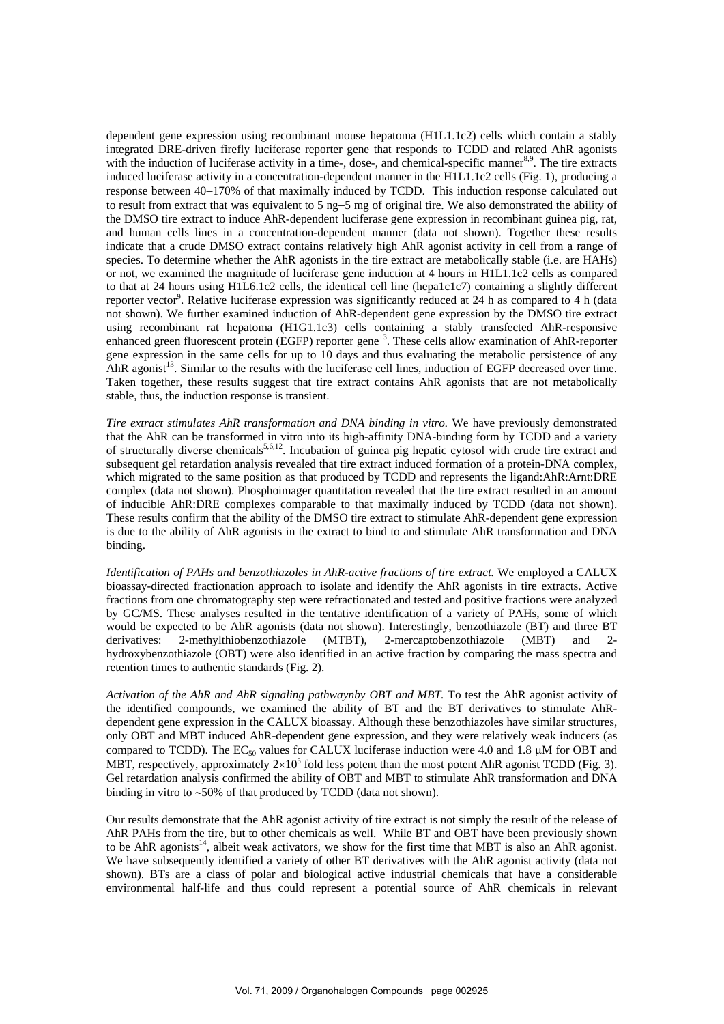dependent gene expression using recombinant mouse hepatoma (H1L1.1c2) cells which contain a stably integrated DRE-driven firefly luciferase reporter gene that responds to TCDD and related AhR agonists with the induction of luciferase activity in a time-, dose-, and chemical-specific manner<sup>8,9</sup>. The tire extracts induced luciferase activity in a concentration-dependent manner in the H1L1.1c2 cells (Fig. 1), producing a response between 40−170% of that maximally induced by TCDD. This induction response calculated out to result from extract that was equivalent to 5 ng−5 mg of original tire. We also demonstrated the ability of the DMSO tire extract to induce AhR-dependent luciferase gene expression in recombinant guinea pig, rat, and human cells lines in a concentration-dependent manner (data not shown). Together these results indicate that a crude DMSO extract contains relatively high AhR agonist activity in cell from a range of species. To determine whether the AhR agonists in the tire extract are metabolically stable (i.e. are HAHs) or not, we examined the magnitude of luciferase gene induction at 4 hours in H1L1.1c2 cells as compared to that at 24 hours using H1L6.1c2 cells, the identical cell line (hepa1c1c7) containing a slightly different reporter vector<sup>9</sup>. Relative luciferase expression was significantly reduced at 24 h as compared to 4 h (data not shown). We further examined induction of AhR-dependent gene expression by the DMSO tire extract using recombinant rat hepatoma (H1G1.1c3) cells containing a stably transfected AhR-responsive enhanced green fluorescent protein (EGFP) reporter gene<sup>13</sup>. These cells allow examination of AhR-reporter gene expression in the same cells for up to 10 days and thus evaluating the metabolic persistence of any AhR agonist<sup>13</sup>. Similar to the results with the luciferase cell lines, induction of EGFP decreased over time. Taken together, these results suggest that tire extract contains AhR agonists that are not metabolically stable, thus, the induction response is transient.

*Tire extract stimulates AhR transformation and DNA binding in vitro.* We have previously demonstrated that the AhR can be transformed in vitro into its high-affinity DNA-binding form by TCDD and a variety of structurally diverse chemicals<sup>5,6,12</sup>. Incubation of guinea pig hepatic cytosol with crude tire extract and subsequent gel retardation analysis revealed that tire extract induced formation of a protein-DNA complex, which migrated to the same position as that produced by TCDD and represents the ligand:AhR:Arnt:DRE complex (data not shown). Phosphoimager quantitation revealed that the tire extract resulted in an amount of inducible AhR:DRE complexes comparable to that maximally induced by TCDD (data not shown). These results confirm that the ability of the DMSO tire extract to stimulate AhR-dependent gene expression is due to the ability of AhR agonists in the extract to bind to and stimulate AhR transformation and DNA binding.

*Identification of PAHs and benzothiazoles in AhR-active fractions of tire extract.* We employed a CALUX bioassay-directed fractionation approach to isolate and identify the AhR agonists in tire extracts. Active fractions from one chromatography step were refractionated and tested and positive fractions were analyzed by GC/MS. These analyses resulted in the tentative identification of a variety of PAHs, some of which would be expected to be AhR agonists (data not shown). Interestingly, benzothiazole (BT) and three BT derivatives: 2-methylthiobenzothiazole (MTBT), 2-mercaptobenzothiazole (MBT) and 2 hydroxybenzothiazole (OBT) were also identified in an active fraction by comparing the mass spectra and retention times to authentic standards (Fig. 2).

*Activation of the AhR and AhR signaling pathwaynby OBT and MBT.* To test the AhR agonist activity of the identified compounds, we examined the ability of BT and the BT derivatives to stimulate AhRdependent gene expression in the CALUX bioassay. Although these benzothiazoles have similar structures, only OBT and MBT induced AhR-dependent gene expression, and they were relatively weak inducers (as compared to TCDD). The EC<sub>50</sub> values for CALUX luciferase induction were 4.0 and 1.8  $\mu$ M for OBT and MBT, respectively, approximately  $2\times10^5$  fold less potent than the most potent AhR agonist TCDD (Fig. 3). Gel retardation analysis confirmed the ability of OBT and MBT to stimulate AhR transformation and DNA binding in vitro to ∼50% of that produced by TCDD (data not shown).

Our results demonstrate that the AhR agonist activity of tire extract is not simply the result of the release of AhR PAHs from the tire, but to other chemicals as well. While BT and OBT have been previously shown to be AhR agonists<sup>14</sup>, albeit weak activators, we show for the first time that MBT is also an AhR agonist. We have subsequently identified a variety of other BT derivatives with the AhR agonist activity (data not shown). BTs are a class of polar and biological active industrial chemicals that have a considerable environmental half-life and thus could represent a potential source of AhR chemicals in relevant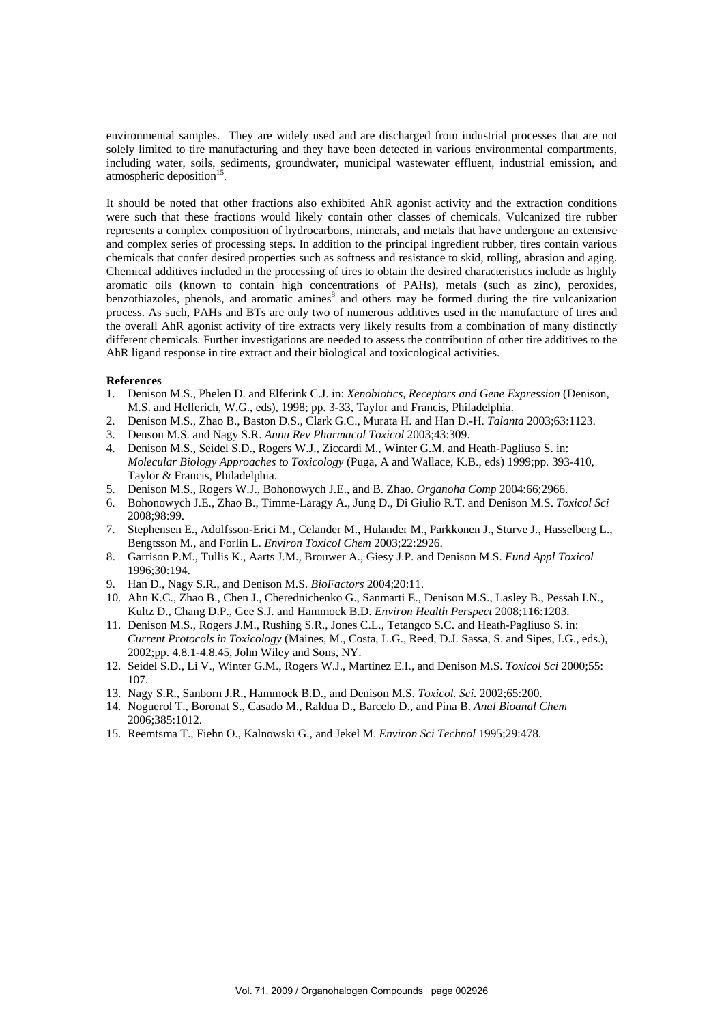environmental samples. They are widely used and are discharged from industrial processes that are not solely limited to tire manufacturing and they have been detected in various environmental compartments, including water, soils, sediments, groundwater, municipal wastewater effluent, industrial emission, and atmospheric deposition<sup>15</sup>

It should be noted that other fractions also exhibited AhR agonist activity and the extraction conditions were such that these fractions would likely contain other classes of chemicals. Vulcanized tire rubber represents a complex composition of hydrocarbons, minerals, and metals that have undergone an extensive and complex series of processing steps. In addition to the principal ingredient rubber, tires contain various chemicals that confer desired properties such as softness and resistance to skid, rolling, abrasion and aging. Chemical additives included in the processing of tires to obtain the desired characteristics include as highly aromatic oils (known to contain high concentrations of PAHs), metals (such as zinc), peroxides, benzothiazoles, phenols, and aromatic amines<sup>8</sup> and others may be formed during the tire vulcanization process. As such, PAHs and BTs are only two of numerous additives used in the manufacture of tires and the overall AhR agonist activity of tire extracts very likely results from a combination of many distinctly different chemicals. Further investigations are needed to assess the contribution of other tire additives to the AhR ligand response in tire extract and their biological and toxicological activities.

## **References**

- 1. Denison M.S., Phelen D. and Elferink C.J. in: *Xenobiotics, Receptors and Gene Expression* (Denison, M.S. and Helferich, W.G., eds), 1998; pp. 3-33, Taylor and Francis, Philadelphia.
- 2. Denison M.S., Zhao B., Baston D.S., Clark G.C., Murata H. and Han D.-H. *Talanta* 2003;63:1123.
- 3. Denson M.S. and Nagy S.R. *Annu Rev Pharmacol Toxicol* 2003;43:309.
- 4. Denison M.S., Seidel S.D., Rogers W.J., Ziccardi M., Winter G.M. and Heath-Pagliuso S. in: *Molecular Biology Approaches to Toxicology* (Puga, A and Wallace, K.B., eds) 1999;pp. 393-410, Taylor & Francis, Philadelphia.
- 5. Denison M.S., Rogers W.J., Bohonowych J.E., and B. Zhao. *Organoha Comp* 2004:66;2966.
- 6. Bohonowych J.E., Zhao B., Timme-Laragy A., Jung D., Di Giulio R.T. and Denison M.S. *Toxicol Sci* 2008;98:99.
- 7. Stephensen E., Adolfsson-Erici M., Celander M., Hulander M., Parkkonen J., Sturve J., Hasselberg L., Bengtsson M., and Forlin L. *Environ Toxicol Chem* 2003;22:2926.
- 8. Garrison P.M., Tullis K., Aarts J.M., Brouwer A., Giesy J.P. and Denison M.S. *Fund Appl Toxicol* 1996;30:194.
- 9. Han D., Nagy S.R., and Denison M.S. *BioFactors* 2004;20:11.
- 10. Ahn K.C., Zhao B., Chen J., Cherednichenko G., Sanmarti E., Denison M.S., Lasley B., Pessah I.N., Kultz D., Chang D.P., Gee S.J. and Hammock B.D. *Environ Health Perspect* 2008;116:1203.
- 11. Denison M.S., Rogers J.M., Rushing S.R., Jones C.L., Tetangco S.C. and Heath-Pagliuso S. in: *Current Protocols in Toxicology* (Maines, M., Costa, L.G., Reed, D.J. Sassa, S. and Sipes, I.G., eds.), 2002;pp. 4.8.1-4.8.45, John Wiley and Sons, NY.
- 12. Seidel S.D., Li V., Winter G.M., Rogers W.J., Martinez E.I., and Denison M.S. *Toxicol Sci* 2000;55: 107.
- 13. Nagy S.R., Sanborn J.R., Hammock B.D., and Denison M.S. *Toxicol. Sci.* 2002;65:200.
- 14. Noguerol T., Boronat S., Casado M., Raldua D., Barcelo D., and Pina B. *Anal Bioanal Chem*  2006;385:1012.
- 15. Reemtsma T., Fiehn O., Kalnowski G., and Jekel M. *Environ Sci Technol* 1995;29:478.